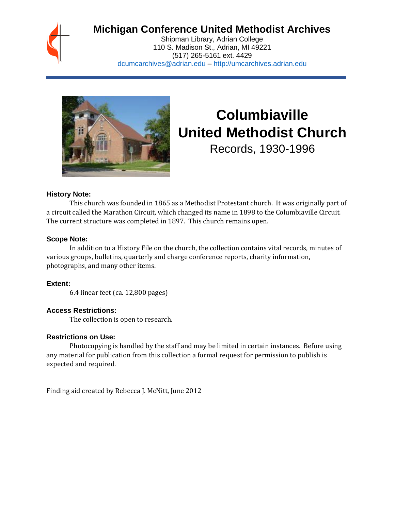

# **Michigan Conference United Methodist Archives**

Shipman Library, Adrian College 110 S. Madison St., Adrian, MI 49221 (517) 265-5161 ext. 4429 [dcumcarchives@adrian.edu](mailto:dcumcarchives@adrian.edu) – [http://umcarchives.adrian.edu](http://umcarchives.adrian.edu/)



# **Columbiaville United Methodist Church**

Records, 1930-1996

#### **History Note:**

This church was founded in 1865 as a Methodist Protestant church. It was originally part of a circuit called the Marathon Circuit, which changed its name in 1898 to the Columbiaville Circuit. The current structure was completed in 1897. This church remains open.

#### **Scope Note:**

In addition to a History File on the church, the collection contains vital records, minutes of various groups, bulletins, quarterly and charge conference reports, charity information, photographs, and many other items.

#### **Extent:**

6.4 linear feet (ca. 12,800 pages)

#### **Access Restrictions:**

The collection is open to research.

#### **Restrictions on Use:**

Photocopying is handled by the staff and may be limited in certain instances. Before using any material for publication from this collection a formal request for permission to publish is expected and required.

Finding aid created by Rebecca J. McNitt, June 2012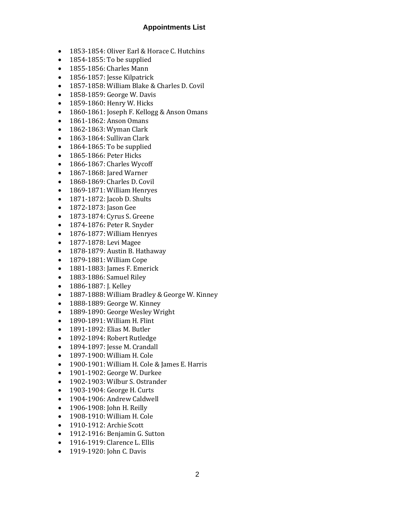### **Appointments List**

- 1853-1854: Oliver Earl & Horace C. Hutchins
- 1854-1855: To be supplied
- 1855-1856: Charles Mann
- 1856-1857: Jesse Kilpatrick
- 1857-1858: William Blake & Charles D. Covil
- 1858-1859: George W. Davis
- 1859-1860: Henry W. Hicks
- 1860-1861: Joseph F. Kellogg & Anson Omans
- 1861-1862: Anson Omans
- 1862-1863: Wyman Clark
- 1863-1864: Sullivan Clark
- 1864-1865: To be supplied
- 1865-1866: Peter Hicks
- 1866-1867: Charles Wycoff
- 1867-1868: Jared Warner
- 1868-1869: Charles D. Covil
- 1869-1871: William Henryes
- 1871-1872: Jacob D. Shults
- 1872-1873: Jason Gee
- 1873-1874: Cyrus S. Greene
- 1874-1876: Peter R. Snyder
- 1876-1877: William Henryes
- 1877-1878: Levi Magee
- 1878-1879: Austin B. Hathaway
- 1879-1881: William Cope
- 1881-1883: James F. Emerick
- 1883-1886: Samuel Riley
- 1886-1887: J. Kelley
- 1887-1888: William Bradley & George W. Kinney
- 1888-1889: George W. Kinney
- 1889-1890: George Wesley Wright
- 1890-1891: William H. Flint
- 1891-1892: Elias M. Butler
- 1892-1894: Robert Rutledge
- 1894-1897: Jesse M. Crandall
- 1897-1900: William H. Cole
- 1900-1901: William H. Cole & James E. Harris
- 1901-1902: George W. Durkee
- 1902-1903: Wilbur S. Ostrander
- 1903-1904: George H. Curts
- 1904-1906: Andrew Caldwell
- 1906-1908: John H. Reilly
- 1908-1910: William H. Cole
- 1910-1912: Archie Scott
- 1912-1916: Benjamin G. Sutton
- 1916-1919: Clarence L. Ellis
- 1919-1920: John C. Davis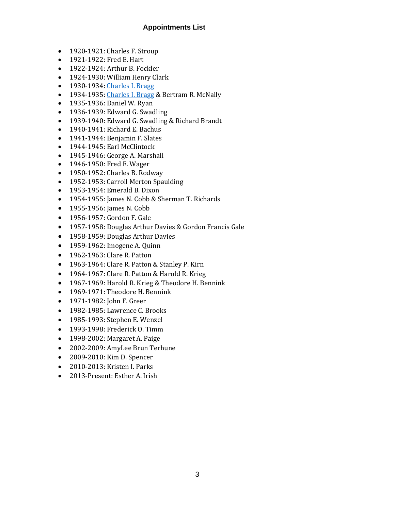# **Appointments List**

- 1920-1921: Charles F. Stroup
- 1921-1922: Fred E. Hart
- 1922-1924: Arthur B. Fockler
- 1924-1930: William Henry Clark
- 1930-1934[: Charles I. Bragg](http://umcarchives.adrian.edu/clergy/braggci.php)
- 1934-1935[: Charles I. Bragg](http://umcarchives.adrian.edu/clergy/braggci.php) & Bertram R. McNally
- 1935-1936: Daniel W. Ryan
- 1936-1939: Edward G. Swadling
- 1939-1940: Edward G. Swadling & Richard Brandt
- 1940-1941: Richard E. Bachus
- 1941-1944: Benjamin F. Slates
- 1944-1945: Earl McClintock
- 1945-1946: George A. Marshall
- 1946-1950: Fred E. Wager
- 1950-1952: Charles B. Rodway
- 1952-1953: Carroll Merton Spaulding
- 1953-1954: Emerald B. Dixon
- 1954-1955: James N. Cobb & Sherman T. Richards
- 1955-1956: James N. Cobb
- 1956-1957: Gordon F. Gale
- 1957-1958: Douglas Arthur Davies & Gordon Francis Gale
- 1958-1959: Douglas Arthur Davies
- 1959-1962: Imogene A. Quinn
- 1962-1963: Clare R. Patton
- 1963-1964: Clare R. Patton & Stanley P. Kirn
- 1964-1967: Clare R. Patton & Harold R. Krieg
- 1967-1969: Harold R. Krieg & Theodore H. Bennink
- 1969-1971: Theodore H. Bennink
- 1971-1982: John F. Greer
- 1982-1985: Lawrence C. Brooks
- 1985-1993: Stephen E. Wenzel
- 1993-1998: Frederick O. Timm
- 1998-2002: Margaret A. Paige
- 2002-2009: AmyLee Brun Terhune
- 2009-2010: Kim D. Spencer
- 2010-2013: Kristen I. Parks
- 2013-Present: Esther A. Irish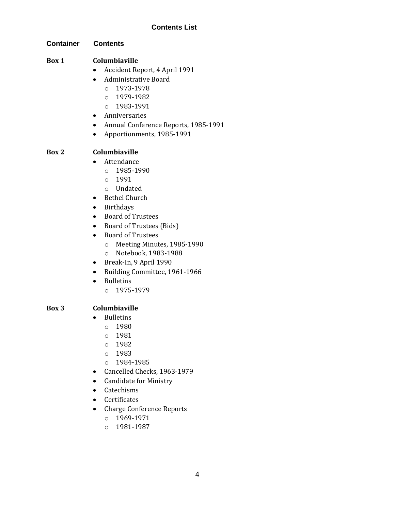#### **Container Contents**

### **Box 1 Columbiaville**

- Accident Report, 4 April 1991
- Administrative Board
	- o 1973-1978
	- $O$  1979-1982
	- o 1983-1991
- Anniversaries
- Annual Conference Reports, 1985-1991
- Apportionments, 1985-1991

### **Box 2 Columbiaville**

- Attendance
	- o 1985-1990
	- o 1991
	- o Undated
- Bethel Church
- Birthdays
- Board of Trustees
- Board of Trustees (Bids)
- Board of Trustees
	- o Meeting Minutes, 1985-1990
	- o Notebook, 1983-1988
- Break-In, 9 April 1990
- Building Committee, 1961-1966
- Bulletins
	- o 1975-1979

#### **Box 3 Columbiaville**

- Bulletins
	- o 1980
	- o 1981
	- o 1982
	- o 1983
	- o 1984-1985
- Cancelled Checks, 1963-1979
- Candidate for Ministry
- Catechisms
- Certificates
- Charge Conference Reports
	- o 1969-1971
	- o 1981-1987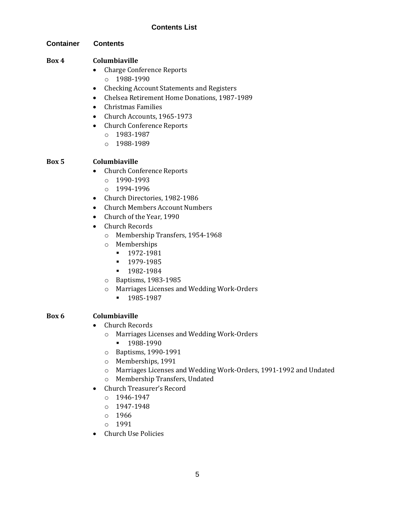#### **Container Contents**

### **Box 4 Columbiaville**

- Charge Conference Reports
	- o 1988-1990
- Checking Account Statements and Registers
- Chelsea Retirement Home Donations, 1987-1989
- Christmas Families
- Church Accounts, 1965-1973
- Church Conference Reports
	- o 1983-1987
	- o 1988-1989

# **Box 5 Columbiaville**

- Church Conference Reports
	- o 1990-1993
	- o 1994-1996
- Church Directories, 1982-1986
- Church Members Account Numbers
- Church of the Year, 1990
- Church Records
	- o Membership Transfers, 1954-1968
	- o Memberships
		- 1972-1981
		- 1979-1985
		- 1982-1984
	- o Baptisms, 1983-1985
	- o Marriages Licenses and Wedding Work-Orders
		- 1985-1987

# **Box 6 Columbiaville**

- Church Records
	- o Marriages Licenses and Wedding Work-Orders
		- **•** 1988-1990
	- o Baptisms, 1990-1991
	- o Memberships, 1991
	- o Marriages Licenses and Wedding Work-Orders, 1991-1992 and Undated
	- o Membership Transfers, Undated
- Church Treasurer's Record
	- o 1946-1947
	- o 1947-1948
	- o 1966
	- o 1991
- Church Use Policies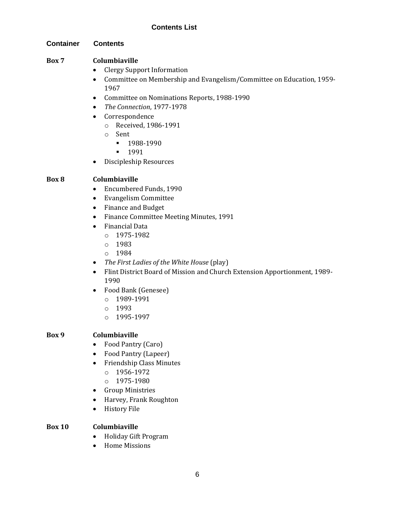#### **Container Contents**

### **Box 7 Columbiaville**

- Clergy Support Information
- Committee on Membership and Evangelism/Committee on Education, 1959- 1967
- Committee on Nominations Reports, 1988-1990
- *The Connection*, 1977-1978
- Correspondence
	- o Received, 1986-1991
	- o Sent
		- 1988-1990
		- 1991
- Discipleship Resources

# **Box 8 Columbiaville**

- Encumbered Funds, 1990
- Evangelism Committee
- Finance and Budget
- Finance Committee Meeting Minutes, 1991
- Financial Data
	- o 1975-1982
	- o 1983
	- o 1984
- *The First Ladies of the White House* (play)
- Flint District Board of Mission and Church Extension Apportionment, 1989- 1990
- Food Bank (Genesee)
	- o 1989-1991
	- o 1993
	- o 1995-1997

# **Box 9 Columbiaville**

- Food Pantry (Caro)
- Food Pantry (Lapeer)
- Friendship Class Minutes
	- o 1956-1972
	- o 1975-1980
- Group Ministries
- Harvey, Frank Roughton
- History File

# **Box 10 Columbiaville**

- Holiday Gift Program
- Home Missions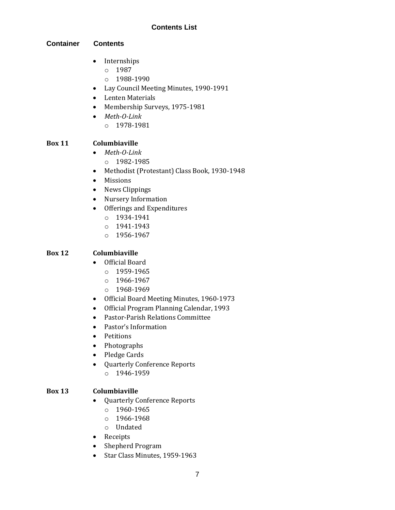### **Container Contents**

- Internships
	- o 1987
	- $O$  1988-1990
- Lay Council Meeting Minutes, 1990-1991
- Lenten Materials
- Membership Surveys, 1975-1981
- *Meth-O-Link*  $O$  1978-1981

### **Box 11 Columbiaville**

- *Meth-O-Link*
	- o 1982-1985
- Methodist (Protestant) Class Book, 1930-1948
- Missions
- News Clippings
- Nursery Information
- Offerings and Expenditures
	- o 1934-1941
	- o 1941-1943
	- o 1956-1967

# **Box 12 Columbiaville**

- Official Board
	- o 1959-1965
	- o 1966-1967
	- o 1968-1969
- Official Board Meeting Minutes, 1960-1973
- Official Program Planning Calendar, 1993
- Pastor-Parish Relations Committee
- Pastor's Information
- Petitions
- Photographs
- Pledge Cards
- Quarterly Conference Reports
	- o 1946-1959

# **Box 13 Columbiaville**

- Quarterly Conference Reports
	- o 1960-1965
	- $0 1966 1968$
	- o Undated
- Receipts
- Shepherd Program
- Star Class Minutes, 1959-1963